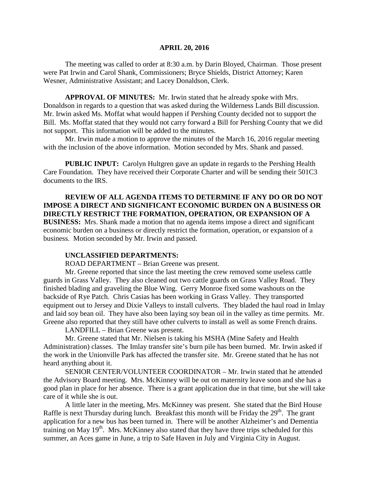#### **APRIL 20, 2016**

The meeting was called to order at 8:30 a.m. by Darin Bloyed, Chairman. Those present were Pat Irwin and Carol Shank, Commissioners; Bryce Shields, District Attorney; Karen Wesner, Administrative Assistant; and Lacey Donaldson, Clerk.

**APPROVAL OF MINUTES:** Mr. Irwin stated that he already spoke with Mrs. Donaldson in regards to a question that was asked during the Wilderness Lands Bill discussion. Mr. Irwin asked Ms. Moffat what would happen if Pershing County decided not to support the Bill. Ms. Moffat stated that they would not carry forward a Bill for Pershing County that we did not support. This information will be added to the minutes.

Mr. Irwin made a motion to approve the minutes of the March 16, 2016 regular meeting with the inclusion of the above information. Motion seconded by Mrs. Shank and passed.

**PUBLIC INPUT:** Carolyn Hultgren gave an update in regards to the Pershing Health Care Foundation. They have received their Corporate Charter and will be sending their 501C3 documents to the IRS.

**REVIEW OF ALL AGENDA ITEMS TO DETERMINE IF ANY DO OR DO NOT IMPOSE A DIRECT AND SIGNIFICANT ECONOMIC BURDEN ON A BUSINESS OR DIRECTLY RESTRICT THE FORMATION, OPERATION, OR EXPANSION OF A BUSINESS:** Mrs. Shank made a motion that no agenda items impose a direct and significant economic burden on a business or directly restrict the formation, operation, or expansion of a business. Motion seconded by Mr. Irwin and passed.

## **UNCLASSIFIED DEPARTMENTS:**

ROAD DEPARTMENT – Brian Greene was present.

Mr. Greene reported that since the last meeting the crew removed some useless cattle guards in Grass Valley. They also cleaned out two cattle guards on Grass Valley Road. They finished blading and graveling the Blue Wing. Gerry Monroe fixed some washouts on the backside of Rye Patch. Chris Casias has been working in Grass Valley. They transported equipment out to Jersey and Dixie Valleys to install culverts. They bladed the haul road in Imlay and laid soy bean oil. They have also been laying soy bean oil in the valley as time permits. Mr. Greene also reported that they still have other culverts to install as well as some French drains.

LANDFILL – Brian Greene was present.

Mr. Greene stated that Mr. Nielsen is taking his MSHA (Mine Safety and Health Administration) classes. The Imlay transfer site's burn pile has been burned. Mr. Irwin asked if the work in the Unionville Park has affected the transfer site. Mr. Greene stated that he has not heard anything about it.

SENIOR CENTER/VOLUNTEER COORDINATOR – Mr. Irwin stated that he attended the Advisory Board meeting. Mrs. McKinney will be out on maternity leave soon and she has a good plan in place for her absence. There is a grant application due in that time, but she will take care of it while she is out.

A little later in the meeting, Mrs. McKinney was present. She stated that the Bird House Raffle is next Thursday during lunch. Breakfast this month will be Friday the  $29<sup>th</sup>$ . The grant application for a new bus has been turned in. There will be another Alzheimer's and Dementia training on May  $19<sup>th</sup>$ . Mrs. McKinney also stated that they have three trips scheduled for this summer, an Aces game in June, a trip to Safe Haven in July and Virginia City in August.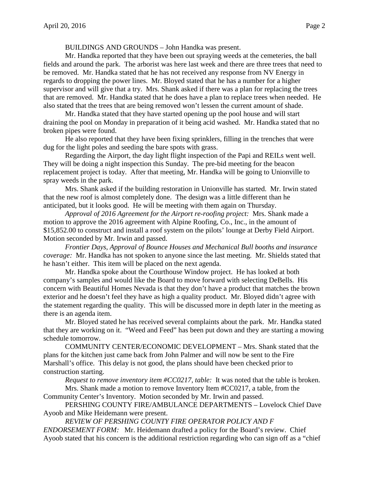BUILDINGS AND GROUNDS – John Handka was present.

Mr. Handka reported that they have been out spraying weeds at the cemeteries, the ball fields and around the park. The arborist was here last week and there are three trees that need to be removed. Mr. Handka stated that he has not received any response from NV Energy in regards to dropping the power lines. Mr. Bloyed stated that he has a number for a higher supervisor and will give that a try. Mrs. Shank asked if there was a plan for replacing the trees that are removed. Mr. Handka stated that he does have a plan to replace trees when needed. He also stated that the trees that are being removed won't lessen the current amount of shade.

Mr. Handka stated that they have started opening up the pool house and will start draining the pool on Monday in preparation of it being acid washed. Mr. Handka stated that no broken pipes were found.

He also reported that they have been fixing sprinklers, filling in the trenches that were dug for the light poles and seeding the bare spots with grass.

Regarding the Airport, the day light flight inspection of the Papi and REILs went well. They will be doing a night inspection this Sunday. The pre-bid meeting for the beacon replacement project is today. After that meeting, Mr. Handka will be going to Unionville to spray weeds in the park.

Mrs. Shank asked if the building restoration in Unionville has started. Mr. Irwin stated that the new roof is almost completely done. The design was a little different than he anticipated, but it looks good. He will be meeting with them again on Thursday.

*Approval of 2016 Agreement for the Airport re-roofing project:* Mrs. Shank made a motion to approve the 2016 agreement with Alpine Roofing, Co., Inc., in the amount of \$15,852.00 to construct and install a roof system on the pilots' lounge at Derby Field Airport. Motion seconded by Mr. Irwin and passed.

*Frontier Days, Approval of Bounce Houses and Mechanical Bull booths and insurance coverage:* Mr. Handka has not spoken to anyone since the last meeting. Mr. Shields stated that he hasn't either. This item will be placed on the next agenda.

Mr. Handka spoke about the Courthouse Window project. He has looked at both company's samples and would like the Board to move forward with selecting DeBells. His concern with Beautiful Homes Nevada is that they don't have a product that matches the brown exterior and he doesn't feel they have as high a quality product. Mr. Bloyed didn't agree with the statement regarding the quality. This will be discussed more in depth later in the meeting as there is an agenda item.

Mr. Bloyed stated he has received several complaints about the park. Mr. Handka stated that they are working on it. "Weed and Feed" has been put down and they are starting a mowing schedule tomorrow.

COMMUNITY CENTER/ECONOMIC DEVELOPMENT – Mrs. Shank stated that the plans for the kitchen just came back from John Palmer and will now be sent to the Fire Marshall's office. This delay is not good, the plans should have been checked prior to construction starting.

*Request to remove inventory item #CC0217, table:* It was noted that the table is broken.

Mrs. Shank made a motion to remove Inventory Item #CC0217, a table, from the Community Center's Inventory. Motion seconded by Mr. Irwin and passed.

PERSHING COUNTY FIRE/AMBULANCE DEPARTMENTS – Lovelock Chief Dave Ayoob and Mike Heidemann were present.

*REVIEW OF PERSHING COUNTY FIRE OPERATOR POLICY AND F ENDORSEMENT FORM:* Mr. Heidemann drafted a policy for the Board's review. Chief Ayoob stated that his concern is the additional restriction regarding who can sign off as a "chief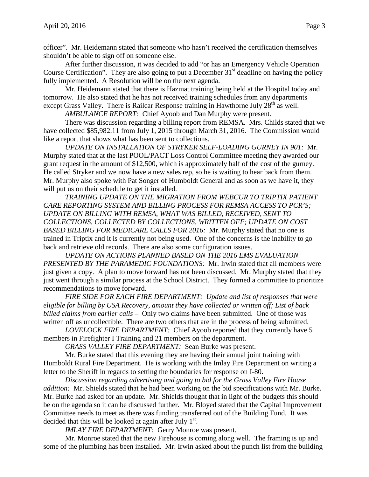officer". Mr. Heidemann stated that someone who hasn't received the certification themselves shouldn't be able to sign off on someone else.

After further discussion, it was decided to add "or has an Emergency Vehicle Operation Course Certification". They are also going to put a December  $31<sup>st</sup>$  deadline on having the policy fully implemented. A Resolution will be on the next agenda.

Mr. Heidemann stated that there is Hazmat training being held at the Hospital today and tomorrow. He also stated that he has not received training schedules from any departments except Grass Valley. There is Railcar Response training in Hawthorne July  $28<sup>th</sup>$  as well.

*AMBULANCE REPORT:* Chief Ayoob and Dan Murphy were present.

There was discussion regarding a billing report from REMSA. Mrs. Childs stated that we have collected \$85,982.11 from July 1, 2015 through March 31, 2016. The Commission would like a report that shows what has been sent to collections.

*UPDATE ON INSTALLATION OF STRYKER SELF-LOADING GURNEY IN 901:* Mr. Murphy stated that at the last POOL/PACT Loss Control Committee meeting they awarded our grant request in the amount of \$12,500, which is approximately half of the cost of the gurney. He called Stryker and we now have a new sales rep, so he is waiting to hear back from them. Mr. Murphy also spoke with Pat Songer of Humboldt General and as soon as we have it, they will put us on their schedule to get it installed.

*TRAINING UPDATE ON THE MIGRATION FROM WEBCUR TO TRIPTIX PATIENT CARE REPORTING SYSTEM AND BILLING PROCESS FOR REMSA ACCESS TO PCR'S; UPDATE ON BILLING WITH REMSA, WHAT WAS BILLED, RECEIVED, SENT TO COLLECTIONS, COLLECTED BY COLLECTIONS, WRITTEN OFF; UPDATE ON COST BASED BILLING FOR MEDICARE CALLS FOR 2016:* Mr. Murphy stated that no one is trained in Triptix and it is currently not being used. One of the concerns is the inability to go back and retrieve old records. There are also some configuration issues.

*UPDATE ON ACTIONS PLANNED BASED ON THE 2016 EMS EVALUATION PRESENTED BY THE PARAMEDIC FOUNDATIONS:* Mr. Irwin stated that all members were just given a copy. A plan to move forward has not been discussed. Mr. Murphy stated that they just went through a similar process at the School District. They formed a committee to prioritize recommendations to move forward.

*FIRE SIDE FOR EACH FIRE DEPARTMENT: Update and list of responses that were eligible for billing by USA Recovery, amount they have collected or written off; List of back billed claims from earlier calls –* Only two claims have been submitted. One of those was written off as uncollectible. There are two others that are in the process of being submitted.

*LOVELOCK FIRE DEPARTMENT:* Chief Ayoob reported that they currently have 5 members in Firefighter I Training and 21 members on the department.

*GRASS VALLEY FIRE DEPARTMENT:* Sean Burke was present.

Mr. Burke stated that this evening they are having their annual joint training with Humboldt Rural Fire Department. He is working with the Imlay Fire Department on writing a letter to the Sheriff in regards to setting the boundaries for response on I-80.

*Discussion regarding advertising and going to bid for the Grass Valley Fire House addition:* Mr. Shields stated that he had been working on the bid specifications with Mr. Burke. Mr. Burke had asked for an update. Mr. Shields thought that in light of the budgets this should be on the agenda so it can be discussed further. Mr. Bloyed stated that the Capital Improvement Committee needs to meet as there was funding transferred out of the Building Fund. It was decided that this will be looked at again after July  $1<sup>st</sup>$ .

*IMLAY FIRE DEPARTMENT:* Gerry Monroe was present.

Mr. Monroe stated that the new Firehouse is coming along well. The framing is up and some of the plumbing has been installed. Mr. Irwin asked about the punch list from the building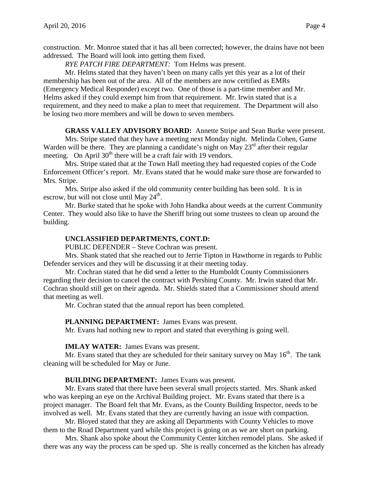construction. Mr. Monroe stated that it has all been corrected; however, the drains have not been addressed. The Board will look into getting them fixed.

*RYE PATCH FIRE DEPARTMENT:* Tom Helms was present.

Mr. Helms stated that they haven't been on many calls yet this year as a lot of their membership has been out of the area. All of the members are now certified as EMRs (Emergency Medical Responder) except two. One of those is a part-time member and Mr. Helms asked if they could exempt him from that requirement. Mr. Irwin stated that is a requirement, and they need to make a plan to meet that requirement. The Department will also be losing two more members and will be down to seven members.

**GRASS VALLEY ADVISORY BOARD:** Annette Stripe and Sean Burke were present.

Mrs. Stripe stated that they have a meeting next Monday night. Melinda Cohen, Game Warden will be there. They are planning a candidate's night on May  $23<sup>rd</sup>$  after their regular meeting. On April  $30<sup>th</sup>$  there will be a craft fair with 19 vendors.

Mrs. Stripe stated that at the Town Hall meeting they had requested copies of the Code Enforcement Officer's report. Mr. Evans stated that he would make sure those are forwarded to Mrs. Stripe.

Mrs. Stripe also asked if the old community center building has been sold. It is in escrow, but will not close until May  $24^{\text{th}}$ .

Mr. Burke stated that he spoke with John Handka about weeds at the current Community Center. They would also like to have the Sheriff bring out some trustees to clean up around the building.

### **UNCLASSIFIED DEPARTMENTS, CONT.D:**

PUBLIC DEFENDER – Steve Cochran was present.

Mrs. Shank stated that she reached out to Jerrie Tipton in Hawthorne in regards to Public Defender services and they will be discussing it at their meeting today.

Mr. Cochran stated that he did send a letter to the Humboldt County Commissioners regarding their decision to cancel the contract with Pershing County. Mr. Irwin stated that Mr. Cochran should still get on their agenda. Mr. Shields stated that a Commissioner should attend that meeting as well.

Mr. Cochran stated that the annual report has been completed.

### **PLANNING DEPARTMENT:** James Evans was present.

Mr. Evans had nothing new to report and stated that everything is going well.

### **IMLAY WATER:** James Evans was present.

Mr. Evans stated that they are scheduled for their sanitary survey on May  $16<sup>th</sup>$ . The tank cleaning will be scheduled for May or June.

## **BUILDING DEPARTMENT:** James Evans was present.

Mr. Evans stated that there have been several small projects started. Mrs. Shank asked who was keeping an eye on the Archival Building project. Mr. Evans stated that there is a project manager. The Board felt that Mr. Evans, as the County Building Inspector, needs to be involved as well. Mr. Evans stated that they are currently having an issue with compaction.

Mr. Bloyed stated that they are asking all Departments with County Vehicles to move them to the Road Department yard while this project is going on as we are short on parking.

Mrs. Shank also spoke about the Community Center kitchen remodel plans. She asked if there was any way the process can be sped up. She is really concerned as the kitchen has already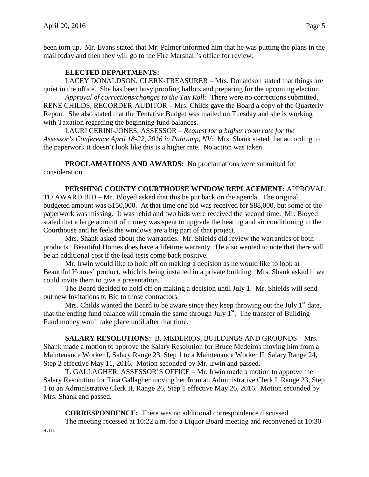been torn up. Mr. Evans stated that Mr. Palmer informed him that he was putting the plans in the mail today and then they will go to the Fire Marshall's office for review.

# **ELECTED DEPARTMENTS:**

LACEY DONALDSON, CLERK-TREASURER – Mrs. Donaldson stated that things are quiet in the office. She has been busy proofing ballots and preparing for the upcoming election.

*Approval of corrections/changes to the Tax Roll:* There were no corrections submitted. RENE CHILDS, RECORDER-AUDITOR – Mrs. Childs gave the Board a copy of the Quarterly Report. She also stated that the Tentative Budget was mailed on Tuesday and she is working with Taxation regarding the beginning fund balances.

LAURI CERINI-JONES, ASSESSOR – *Request for a higher room rate for the Assessor's Conference April 18-22, 2016 in Pahrump, NV:* Mrs. Shank stated that according to the paperwork it doesn't look like this is a higher rate. No action was taken.

**PROCLAMATIONS AND AWARDS:** No proclamations were submitted for consideration.

## **PERSHING COUNTY COURTHOUSE WINDOW REPLACEMENT:** APPROVAL

TO AWARD BID – Mr. Bloyed asked that this be put back on the agenda. The original budgeted amount was \$150,000. At that time one bid was received for \$88,000, but some of the paperwork was missing. It was rebid and two bids were received the second time. Mr. Bloyed stated that a large amount of money was spent to upgrade the heating and air conditioning in the Courthouse and he feels the windows are a big part of that project.

Mrs. Shank asked about the warranties. Mr. Shields did review the warranties of both products. Beautiful Homes does have a lifetime warranty. He also wanted to note that there will be an additional cost if the lead tests come back positive.

Mr. Irwin would like to hold off on making a decision as he would like to look at Beautiful Homes' product, which is being installed in a private building. Mrs. Shank asked if we could invite them to give a presentation.

The Board decided to hold off on making a decision until July 1. Mr. Shields will send out new Invitations to Bid to those contractors.

Mrs. Childs wanted the Board to be aware since they keep throwing out the July  $1<sup>st</sup>$  date, that the ending fund balance will remain the same through July  $1<sup>st</sup>$ . The transfer of Building Fund money won't take place until after that time.

**SALARY RESOLUTIONS:** B. MEDERIOS, BUILDINGS AND GROUNDS – Mrs. Shank made a motion to approve the Salary Resolution for Bruce Medeiros moving him from a Maintenance Worker I, Salary Range 23, Step 1 to a Maintenance Worker II, Salary Range 24, Step 2 effective May 11, 2016. Motion seconded by Mr. Irwin and passed.

T. GALLAGHER, ASSESSOR'S OFFICE – Mr. Irwin made a motion to approve the Salary Resolution for Tina Gallagher moving her from an Administrative Clerk I, Range 23, Step 1 to an Administrative Clerk II, Range 26, Step 1 effective May 26, 2016. Motion seconded by Mrs. Shank and passed.

**CORRESPONDENCE:** There was no additional correspondence discussed.

The meeting recessed at 10:22 a.m. for a Liquor Board meeting and reconvened at 10:30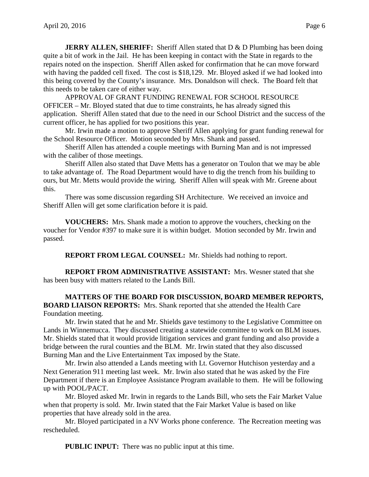**JERRY ALLEN, SHERIFF:** Sheriff Allen stated that D & D Plumbing has been doing quite a bit of work in the Jail. He has been keeping in contact with the State in regards to the repairs noted on the inspection. Sheriff Allen asked for confirmation that he can move forward with having the padded cell fixed. The cost is \$18,129. Mr. Bloyed asked if we had looked into this being covered by the County's insurance. Mrs. Donaldson will check. The Board felt that this needs to be taken care of either way.

APPROVAL OF GRANT FUNDING RENEWAL FOR SCHOOL RESOURCE OFFICER – Mr. Bloyed stated that due to time constraints, he has already signed this application. Sheriff Allen stated that due to the need in our School District and the success of the current officer, he has applied for two positions this year.

Mr. Irwin made a motion to approve Sheriff Allen applying for grant funding renewal for the School Resource Officer. Motion seconded by Mrs. Shank and passed.

Sheriff Allen has attended a couple meetings with Burning Man and is not impressed with the caliber of those meetings.

Sheriff Allen also stated that Dave Metts has a generator on Toulon that we may be able to take advantage of. The Road Department would have to dig the trench from his building to ours, but Mr. Metts would provide the wiring. Sheriff Allen will speak with Mr. Greene about this.

There was some discussion regarding SH Architecture. We received an invoice and Sheriff Allen will get some clarification before it is paid.

**VOUCHERS:** Mrs. Shank made a motion to approve the vouchers, checking on the voucher for Vendor #397 to make sure it is within budget. Motion seconded by Mr. Irwin and passed.

**REPORT FROM LEGAL COUNSEL:** Mr. Shields had nothing to report.

**REPORT FROM ADMINISTRATIVE ASSISTANT:** Mrs. Wesner stated that she has been busy with matters related to the Lands Bill.

**MATTERS OF THE BOARD FOR DISCUSSION, BOARD MEMBER REPORTS, BOARD LIAISON REPORTS:** Mrs. Shank reported that she attended the Health Care Foundation meeting.

Mr. Irwin stated that he and Mr. Shields gave testimony to the Legislative Committee on Lands in Winnemucca. They discussed creating a statewide committee to work on BLM issues. Mr. Shields stated that it would provide litigation services and grant funding and also provide a bridge between the rural counties and the BLM. Mr. Irwin stated that they also discussed Burning Man and the Live Entertainment Tax imposed by the State.

Mr. Irwin also attended a Lands meeting with Lt. Governor Hutchison yesterday and a Next Generation 911 meeting last week. Mr. Irwin also stated that he was asked by the Fire Department if there is an Employee Assistance Program available to them. He will be following up with POOL/PACT.

Mr. Bloyed asked Mr. Irwin in regards to the Lands Bill, who sets the Fair Market Value when that property is sold. Mr. Irwin stated that the Fair Market Value is based on like properties that have already sold in the area.

Mr. Bloyed participated in a NV Works phone conference. The Recreation meeting was rescheduled.

**PUBLIC INPUT:** There was no public input at this time.